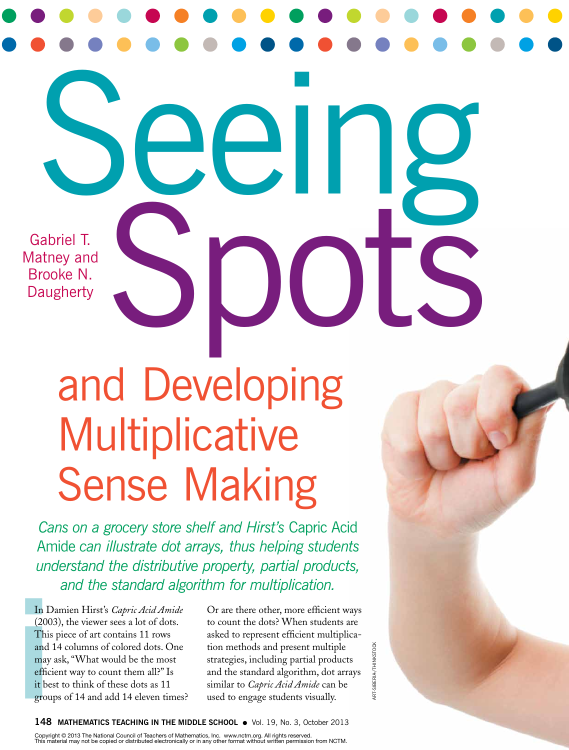Gabriel T. Matney and Brooke N. **Daugherty** 

# and Developing Multiplicative Sense Making

Seeing

Spots

*Cans on a grocery store shelf and Hirst's* Capric Acid Amide *can illustrate dot arrays, thus helping students understand the distributive property, partial products, and the standard algorithm for multiplication.*

In II<br>(2000)<br>This and<br>and<br>may<br>effic<br>it be<br>grou<br>148 In Damien Hirst's *Capric Acid Amide* (2003), the viewer sees a lot of dots. This piece of art contains 11 rows and 14 columns of colored dots. One may ask, "What would be the most efficient way to count them all?" Is it best to think of these dots as 11 groups of 14 and add 14 eleven times?

Or are there other, more efficient ways to count the dots? When students are asked to represent efficient multiplication methods and present multiple strategies, including partial products and the standard algorithm, dot arrays similar to *Capric Acid Amide* can be tion methods and present multiple<br>strategies, including partial products<br>and the standard algorithm, dot arrays<br>similar to *Capric Acid Amide* can be<br>used to engage students visually.

**148 Mathematics Teaching in the Middle School** ●Vol. 19, No. 3, October 2013

Copyright © 2013 The National Council of Teachers of Mathematics, Inc. www.nctm.org. All rights reserved.<br>This material may not be copied or distributed electronically or in any other format without written permission from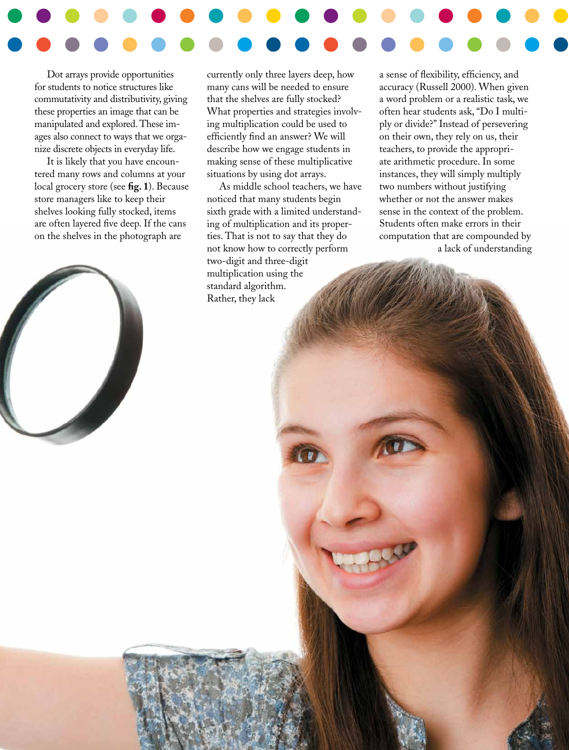Dot arrays provide opportunities for students to notice structures like commutativity and distributivity, giving these properties an image that can be manipulated and explored. These images also connect to ways that we organize discrete objects in everyday life.

It is likely that you have encountered many rows and columns at your local grocery store (see **fig. 1**). Because store managers like to keep their shelves looking fully stocked, items are often layered five deep. If the cans on the shelves in the photograph are

currently only three layers deep, how many cans will be needed to ensure that the shelves are fully stocked? What properties and strategies involving multiplication could be used to efficiently find an answer? We will describe how we engage students in making sense of these multiplicative situations by using dot arrays.

As middle school teachers, we have noticed that many students begin sixth grade with a limited understanding of multiplication and its properties. That is not to say that they do not know how to correctly perform two-digit and three-digit multiplication using the standard algorithm. Rather, they lack

a sense of flexibility, efficiency, and accuracy (Russell 2000). When given a word problem or a realistic task, we often hear students ask, "Do I multiply or divide?" Instead of persevering on their own, they rely on us, their teachers, to provide the appropriate arithmetic procedure. In some instances, they will simply multiply two numbers without justifying whether or not the answer makes sense in the context of the problem. Students often make errors in their computation that are compounded by a lack of understanding

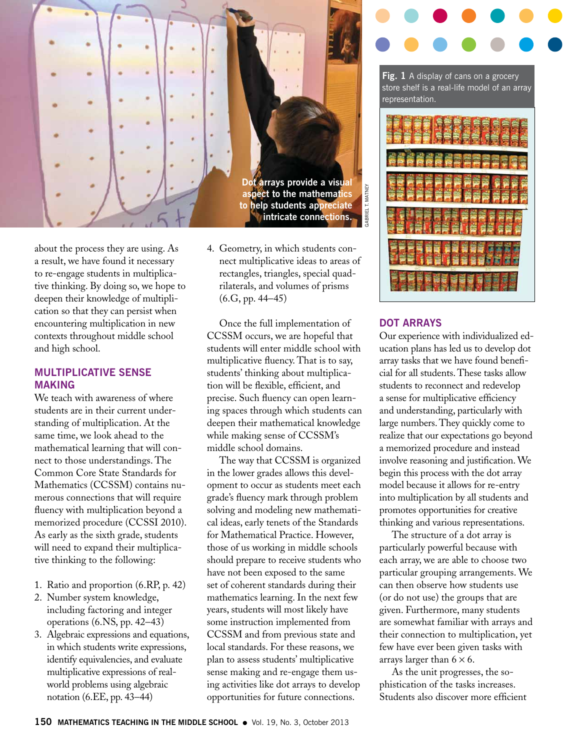

about the process they are using. As a result, we have found it necessary to re-engage students in multiplicative thinking. By doing so, we hope to deepen their knowledge of multiplication so that they can persist when encountering multiplication in new contexts throughout middle school and high school.

# **Multiplicative sense MaKing**

We teach with awareness of where students are in their current understanding of multiplication. At the same time, we look ahead to the mathematical learning that will connect to those understandings. The Common Core State Standards for Mathematics (CCSSM) contains numerous connections that will require fluency with multiplication beyond a memorized procedure (CCSSI 2010). As early as the sixth grade, students will need to expand their multiplicative thinking to the following:

- 1. Ratio and proportion (6.RP, p. 42)
- 2. Number system knowledge, including factoring and integer operations (6.NS, pp. 42-43)
- 3. Algebraic expressions and equations, in which students write expressions, identify equivalencies, and evaluate multiplicative expressions of realworld problems using algebraic notation (6.EE, pp. 43-44)

4. Geometry, in which students connect multiplicative ideas to areas of rectangles, triangles, special quadrilaterals, and volumes of prisms (6.G, pp. 44-45)

Once the full implementation of CCSSM occurs, we are hopeful that students will enter middle school with multiplicative fluency. That is to say, students' thinking about multiplication will be flexible, efficient, and precise. Such fluency can open learning spaces through which students can deepen their mathematical knowledge while making sense of CCSSM's middle school domains.

The way that CCSSM is organized in the lower grades allows this development to occur as students meet each grade's fluency mark through problem solving and modeling new mathematical ideas, early tenets of the Standards for Mathematical Practice. However, those of us working in middle schools should prepare to receive students who have not been exposed to the same set of coherent standards during their mathematics learning. In the next few years, students will most likely have some instruction implemented from CCSSM and from previous state and local standards. For these reasons, we plan to assess students' multiplicative sense making and re-engage them using activities like dot arrays to develop opportunities for future connections.



**Fig. 1** A display of cans on a grocery store shelf is a real-life model of an array representation.



# **dot aRRays**

GABrieL T. MATNeY

**GABRIEL T. MATNEY** 

Our experience with individualized education plans has led us to develop dot array tasks that we have found beneficial for all students. These tasks allow students to reconnect and redevelop a sense for multiplicative efficiency and understanding, particularly with large numbers. They quickly come to realize that our expectations go beyond a memorized procedure and instead involve reasoning and justification. We begin this process with the dot array model because it allows for re-entry into multiplication by all students and promotes opportunities for creative thinking and various representations.

The structure of a dot array is particularly powerful because with each array, we are able to choose two particular grouping arrangements. We can then observe how students use (or do not use) the groups that are given. Furthermore, many students are somewhat familiar with arrays and their connection to multiplication, yet few have ever been given tasks with arrays larger than  $6 \times 6$ .

As the unit progresses, the sophistication of the tasks increases. Students also discover more efficient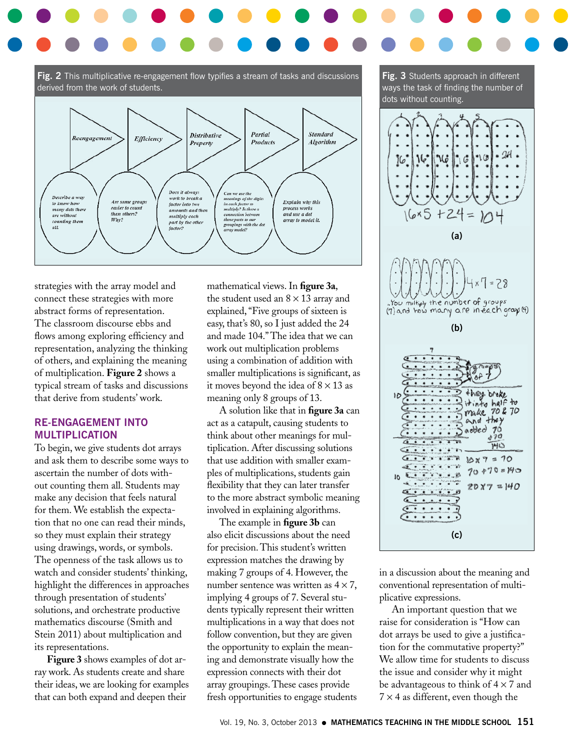



strategies with the array model and connect these strategies with more abstract forms of representation. The classroom discourse ebbs and flows among exploring efficiency and representation, analyzing the thinking of others, and explaining the meaning of multiplication. **Figure 2** shows a typical stream of tasks and discussions that derive from students' work.

## **Re-engagement into multiplication**

To begin, we give students dot arrays and ask them to describe some ways to ascertain the number of dots without counting them all. Students may make any decision that feels natural for them. We establish the expectation that no one can read their minds, so they must explain their strategy using drawings, words, or symbols. The openness of the task allows us to watch and consider students' thinking, highlight the differences in approaches through presentation of students' solutions, and orchestrate productive mathematics discourse (Smith and Stein 2011) about multiplication and its representations.

**Figure 3** shows examples of dot array work. As students create and share their ideas, we are looking for examples that can both expand and deepen their

mathematical views. In **figure 3a**, the student used an  $8 \times 13$  array and explained, "Five groups of sixteen is easy, that's 80, so I just added the 24 and made 104." The idea that we can work out multiplication problems using a combination of addition with smaller multiplications is significant, as it moves beyond the idea of  $8 \times 13$  as meaning only 8 groups of 13.

A solution like that in **figure 3a** can act as a catapult, causing students to think about other meanings for multiplication. After discussing solutions that use addition with smaller examples of multiplications, students gain flexibility that they can later transfer to the more abstract symbolic meaning involved in explaining algorithms.

The example in **figure 3b** can also elicit discussions about the need for precision. This student's written expression matches the drawing by making 7 groups of 4. However, the number sentence was written as  $4 \times 7$ , implying 4 groups of 7. Several students typically represent their written multiplications in a way that does not follow convention, but they are given the opportunity to explain the meaning and demonstrate visually how the expression connects with their dot array groupings. These cases provide fresh opportunities to engage students



in a discussion about the meaning and conventional representation of multiplicative expressions.

**(c)**

J 7)  $10x7 = 70$ 

 $704708140$ 

 $20x7 = 140$ 

エンティン <sup>o</sup>ummutatuse

 $\ldots$  $\cdots$ 

a status y

 $\epsilon$  ,  $\epsilon$  ,  $\epsilon$  ,  $\epsilon$  ,  $\epsilon$  ,  $\epsilon$  ,  $\epsilon$ 

<u>Kill Colle</u> Silve

 $\cdots$ 

ه چپکا

 $\subset$ 

An important question that we raise for consideration is "How can dot arrays be used to give a justification for the commutative property?" We allow time for students to discuss the issue and consider why it might be advantageous to think of  $4 \times 7$  and  $7 \times 4$  as different, even though the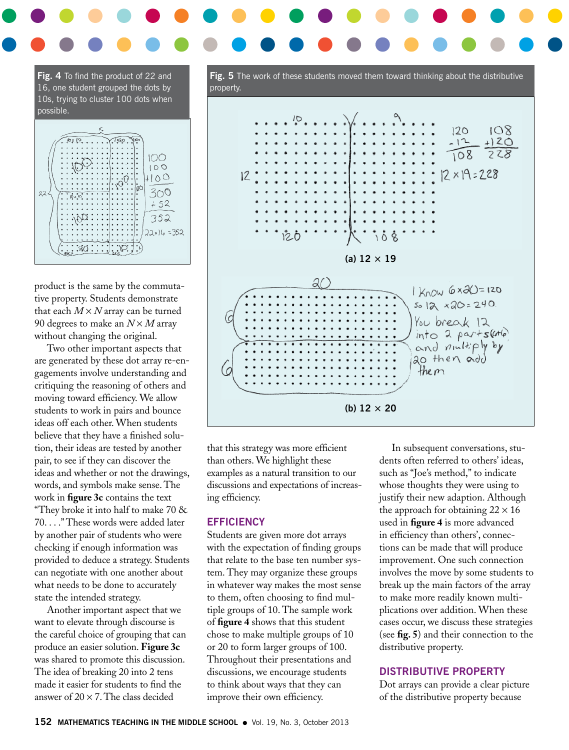**Fig. 4** To find the product of 22 and 16, one student grouped the dots by 10s, trying to cluster 100 dots when possible.

product is the same by the commutative property. Students demonstrate that each  $M \times N$  array can be turned 90 degrees to make an *N* × *M* array without changing the original.

Two other important aspects that are generated by these dot array re-engagements involve understanding and critiquing the reasoning of others and moving toward efficiency. We allow students to work in pairs and bounce ideas off each other. When students believe that they have a finished solution, their ideas are tested by another pair, to see if they can discover the ideas and whether or not the drawings, words, and symbols make sense. The work in **figure 3c** contains the text "They broke it into half to make  $70 \&$ 70. . . ." These words were added later by another pair of students who were checking if enough information was provided to deduce a strategy. Students can negotiate with one another about what needs to be done to accurately state the intended strategy.

Another important aspect that we want to elevate through discourse is the careful choice of grouping that can produce an easier solution. **Figure 3c** was shared to promote this discussion. The idea of breaking 20 into 2 tens made it easier for students to find the answer of  $20 \times 7$ . The class decided

**Fig. 5** The work of these students moved them toward thinking about the distributive property.



that this strategy was more efficient than others. We highlight these examples as a natural transition to our discussions and expectations of increasing efficiency.

## **Efficiency**

Students are given more dot arrays with the expectation of finding groups that relate to the base ten number system. They may organize these groups in whatever way makes the most sense to them, often choosing to find multiple groups of 10. The sample work of **figure 4** shows that this student chose to make multiple groups of 10 or 20 to form larger groups of 100. Throughout their presentations and discussions, we encourage students to think about ways that they can improve their own efficiency.

In subsequent conversations, students often referred to others' ideas, such as "Joe's method," to indicate whose thoughts they were using to justify their new adaption. Although the approach for obtaining  $22 \times 16$ used in **figure 4** is more advanced in efficiency than others', connections can be made that will produce improvement. One such connection involves the move by some students to break up the main factors of the array to make more readily known multiplications over addition. When these cases occur, we discuss these strategies (see **fig. 5**) and their connection to the distributive property.

#### **Distributive Property**

Dot arrays can provide a clear picture of the distributive property because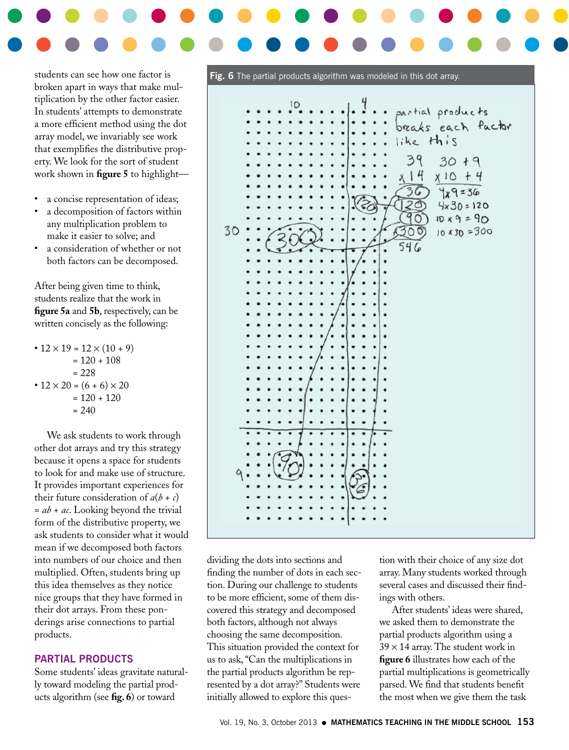students can see how one factor is broken apart in ways that make multiplication by the other factor easier. In students' attempts to demonstrate a more efficient method using the dot array model, we invariably see work that exemplifies the distributive property. We look for the sort of student work shown in **figure 5** to highlight—

- a concise representation of ideas;
- a decomposition of factors within any multiplication problem to make it easier to solve; and
- a consideration of whether or not both factors can be decomposed.

After being given time to think, students realize that the work in **figure 5a** and **5b**, respectively, can be written concisely as the following:

•  $12 \times 19 = 12 \times (10 + 9)$  $= 120 + 108$  $= 228$ •  $12 \times 20 = (6 + 6) \times 20$  $= 120 + 120$  $= 240$ 

We ask students to work through other dot arrays and try this strategy because it opens a space for students to look for and make use of structure. It provides important experiences for their future consideration of  $a(b + c)$ = *ab* + *ac*. Looking beyond the trivial form of the distributive property, we ask students to consider what it would mean if we decomposed both factors into numbers of our choice and then multiplied. Often, students bring up this idea themselves as they notice nice groups that they have formed in their dot arrays. From these ponderings arise connections to partial products.

## **PARTIAL PRODUCTS**

Some students' ideas gravitate naturally toward modeling the partial products algorithm (see **fig. 6**) or toward

**Fig. 6** The partial products algorithm was modeled in this dot array.



dividing the dots into sections and finding the number of dots in each section. During our challenge to students to be more efficient, some of them discovered this strategy and decomposed both factors, although not always choosing the same decomposition. This situation provided the context for us to ask, "Can the multiplications in the partial products algorithm be represented by a dot array?" Students were initially allowed to explore this question with their choice of any size dot array. Many students worked through several cases and discussed their findings with others.

After students' ideas were shared, we asked them to demonstrate the partial products algorithm using a  $39 \times 14$  array. The student work in **figure 6** illustrates how each of the partial multiplications is geometrically parsed. We find that students benefit the most when we give them the task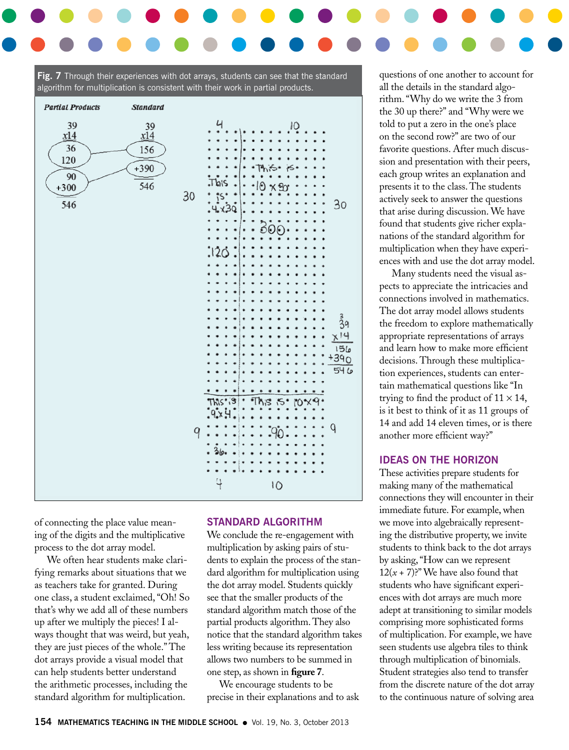Fig. 7 Through their experiences with dot arrays, students can see that the standard algorithm for multiplication is consistent with their work in partial products.

| <b>Partial Products</b>                       | <b>Standard</b>                         |                                                                                                                                                       |
|-----------------------------------------------|-----------------------------------------|-------------------------------------------------------------------------------------------------------------------------------------------------------|
| 39<br>x14<br>36<br>120<br>90<br>$+300$<br>546 | $\frac{39}{14}$<br>156<br>$+390$<br>546 | 4<br>10<br>This<br>30<br>ţ۶<br>30<br>4,130<br>50<br>6<br>2<br>$\frac{3}{3}q$<br>x14<br>$156 + 390$<br>546<br>This'is<br>9x<br>q<br>9<br>Io<br>Ļ<br>10 |

of connecting the place value meaning of the digits and the multiplicative process to the dot array model.

We often hear students make clarifying remarks about situations that we as teachers take for granted. During one class, a student exclaimed, "Oh! So that's why we add all of these numbers up after we multiply the pieces! I always thought that was weird, but yeah, they are just pieces of the whole." The dot arrays provide a visual model that can help students better understand the arithmetic processes, including the standard algorithm for multiplication.

#### **STANDARD ALGORITHM**

We conclude the re-engagement with multiplication by asking pairs of students to explain the process of the standard algorithm for multiplication using the dot array model. Students quickly see that the smaller products of the standard algorithm match those of the partial products algorithm. They also notice that the standard algorithm takes less writing because its representation allows two numbers to be summed in one step, as shown in **figure 7**.

We encourage students to be precise in their explanations and to ask questions of one another to account for all the details in the standard algorithm. "Why do we write the 3 from the 30 up there?" and "Why were we told to put a zero in the one's place on the second row?" are two of our favorite questions. After much discussion and presentation with their peers, each group writes an explanation and presents it to the class. The students actively seek to answer the questions that arise during discussion. We have found that students give richer explanations of the standard algorithm for multiplication when they have experiences with and use the dot array model.

Many students need the visual aspects to appreciate the intricacies and connections involved in mathematics. The dot array model allows students the freedom to explore mathematically appropriate representations of arrays and learn how to make more efficient decisions. Through these multiplication experiences, students can entertain mathematical questions like "In trying to find the product of  $11 \times 14$ , is it best to think of it as 11 groups of 14 and add 14 eleven times, or is there another more efficient way?"

## **IDEAS ON THE HORIZON**

These activities prepare students for making many of the mathematical connections they will encounter in their immediate future. For example, when we move into algebraically representing the distributive property, we invite students to think back to the dot arrays by asking, "How can we represent  $12(x + 7)$ ?" We have also found that students who have significant experiences with dot arrays are much more adept at transitioning to similar models comprising more sophisticated forms of multiplication. For example, we have seen students use algebra tiles to think through multiplication of binomials. Student strategies also tend to transfer from the discrete nature of the dot array to the continuous nature of solving area